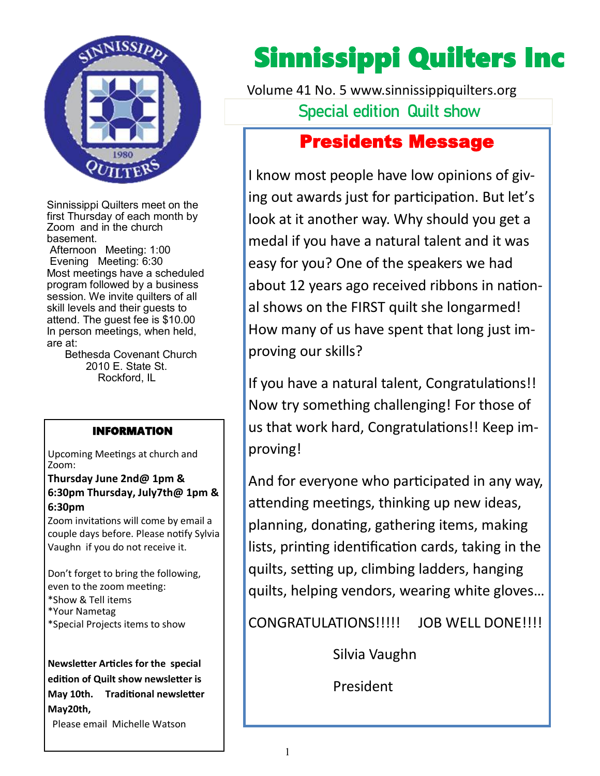

Sinnissippi Quilters meet on the first Thursday of each month by Zoom and in the church basement.

Afternoon Meeting: 1:00 Evening Meeting: 6:30 Most meetings have a scheduled program followed by a business session. We invite quilters of all skill levels and their guests to attend. The guest fee is \$10.00 In person meetings, when held, are at:

 Bethesda Covenant Church 2010 E. State St. Rockford, IL

#### INFORMATION

Upcoming Meetings at church and Zoom:

**Thursday June 2nd@ 1pm & 6:30pm Thursday, July7th@ 1pm & 6:30pm**

Zoom invitations will come by email a couple days before. Please notify Sylvia Vaughn if you do not receive it.

Don't forget to bring the following, even to the zoom meeting: \*Show & Tell items \*Your Nametag \*Special Projects items to show

**Newsletter Articles for the special edition of Quilt show newsletter is May 10th. Traditional newsletter May20th,** Please email Michelle Watson

# Sinnissippi Quilters Inc

**Special edition Quilt show** Volume 41 No. 5 www.sinnissippiquilters.org

### Presidents Message

I know most people have low opinions of giving out awards just for participation. But let's look at it another way. Why should you get a medal if you have a natural talent and it was easy for you? One of the speakers we had about 12 years ago received ribbons in national shows on the FIRST quilt she longarmed! How many of us have spent that long just improving our skills?

If you have a natural talent, Congratulations!! Now try something challenging! For those of us that work hard, Congratulations!! Keep improving!

And for everyone who participated in any way, attending meetings, thinking up new ideas, planning, donating, gathering items, making lists, printing identification cards, taking in the quilts, setting up, climbing ladders, hanging quilts, helping vendors, wearing white gloves…

CONGRATULATIONS!!!!! JOB WELL DONE!!!!

Silvia Vaughn

President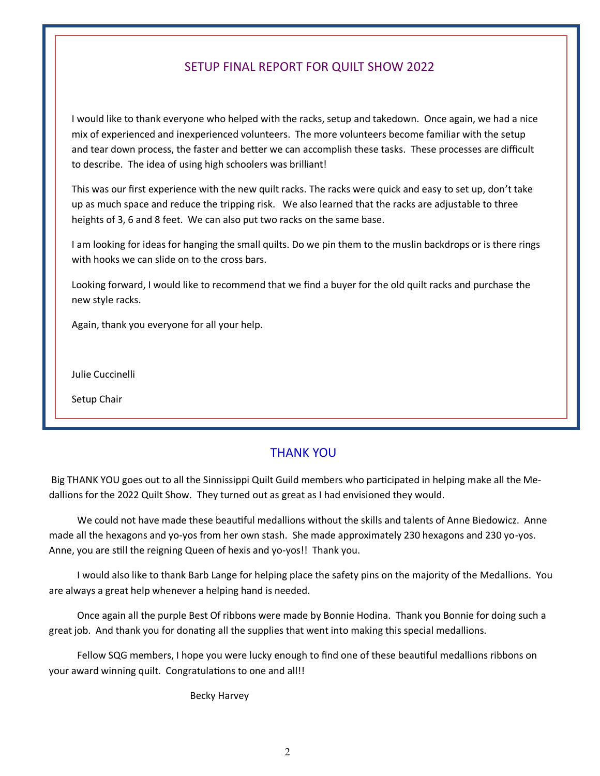#### SETUP FINAL REPORT FOR QUILT SHOW 2022

I would like to thank everyone who helped with the racks, setup and takedown. Once again, we had a nice mix of experienced and inexperienced volunteers. The more volunteers become familiar with the setup and tear down process, the faster and better we can accomplish these tasks. These processes are difficult to describe. The idea of using high schoolers was brilliant!

This was our first experience with the new quilt racks. The racks were quick and easy to set up, don't take up as much space and reduce the tripping risk. We also learned that the racks are adjustable to three heights of 3, 6 and 8 feet. We can also put two racks on the same base.

I am looking for ideas for hanging the small quilts. Do we pin them to the muslin backdrops or is there rings with hooks we can slide on to the cross bars.

Looking forward, I would like to recommend that we find a buyer for the old quilt racks and purchase the new style racks.

Again, thank you everyone for all your help.

Julie Cuccinelli

Setup Chair

#### THANK YOU

Big THANK YOU goes out to all the Sinnissippi Quilt Guild members who participated in helping make all the Medallions for the 2022 Quilt Show. They turned out as great as I had envisioned they would.

We could not have made these beautiful medallions without the skills and talents of Anne Biedowicz. Anne made all the hexagons and yo-yos from her own stash. She made approximately 230 hexagons and 230 yo-yos. Anne, you are still the reigning Queen of hexis and yo-yos!! Thank you.

I would also like to thank Barb Lange for helping place the safety pins on the majority of the Medallions. You are always a great help whenever a helping hand is needed.

Once again all the purple Best Of ribbons were made by Bonnie Hodina. Thank you Bonnie for doing such a great job. And thank you for donating all the supplies that went into making this special medallions.

Fellow SQG members, I hope you were lucky enough to find one of these beautiful medallions ribbons on your award winning quilt. Congratulations to one and all!!

Becky Harvey